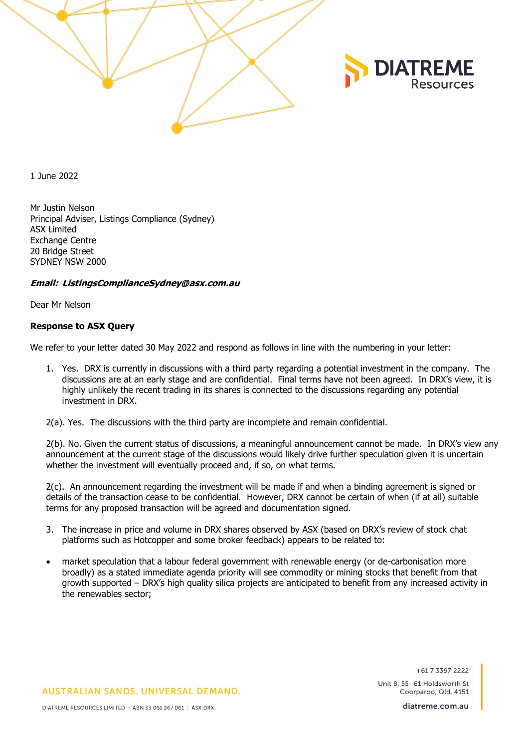



1 June 2022

Mr Justin Nelson Principal Adviser, Listings Compliance (Sydney) ASX Limited Exchange Centre 20 Bridge Street SYDNEY NSW 2000

## **Email: ListingsComplianceSydney@asx.com.au**

Dear Mr Nelson

# **Response to ASX Query**

We refer to your letter dated 30 May 2022 and respond as follows in line with the numbering in your letter:

1. Yes. DRX is currently in discussions with a third party regarding a potential investment in the company. The discussions are at an early stage and are confidential. Final terms have not been agreed. In DRX's view, it is highly unlikely the recent trading in its shares is connected to the discussions regarding any potential investment in DRX.

2(a). Yes. The discussions with the third party are incomplete and remain confidential.

2(b). No. Given the current status of discussions, a meaningful announcement cannot be made. In DRX's view any announcement at the current stage of the discussions would likely drive further speculation given it is uncertain whether the investment will eventually proceed and, if so, on what terms.

2(c). An announcement regarding the investment will be made if and when a binding agreement is signed or details of the transaction cease to be confidential. However, DRX cannot be certain of when (if at all) suitable terms for any proposed transaction will be agreed and documentation signed.

- 3. The increase in price and volume in DRX shares observed by ASX (based on DRX's review of stock chat platforms such as Hotcopper and some broker feedback) appears to be related to:
- market speculation that a labour federal government with renewable energy (or de-carbonisation more broadly) as a stated immediate agenda priority will see commodity or mining stocks that benefit from that growth supported – DRX's high quality silica projects are anticipated to benefit from any increased activity in the renewables sector;

+617 3397 2222

Unit 8, 55-61 Holdsworth St Coorparoo, Old. 4151

**AUSTRALIAN SANDS, UNIVERSAL DEMAND.** 

diatreme.com.au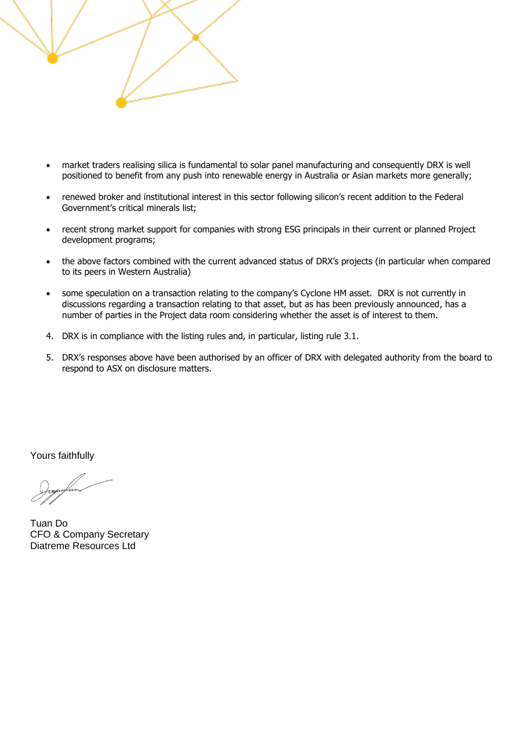

- market traders realising silica is fundamental to solar panel manufacturing and consequently DRX is well positioned to benefit from any push into renewable energy in Australia or Asian markets more generally;
- renewed broker and institutional interest in this sector following silicon's recent addition to the Federal Government's critical minerals list;
- recent strong market support for companies with strong ESG principals in their current or planned Project development programs;
- the above factors combined with the current advanced status of DRX's projects (in particular when compared to its peers in Western Australia)
- some speculation on a transaction relating to the company's Cyclone HM asset. DRX is not currently in discussions regarding a transaction relating to that asset, but as has been previously announced, has a number of parties in the Project data room considering whether the asset is of interest to them.
- 4. DRX is in compliance with the listing rules and, in particular, listing rule 3.1.
- 5. DRX's responses above have been authorised by an officer of DRX with delegated authority from the board to respond to ASX on disclosure matters.

Yours faithfully

Tuan Do CFO & Company Secretary Diatreme Resources Ltd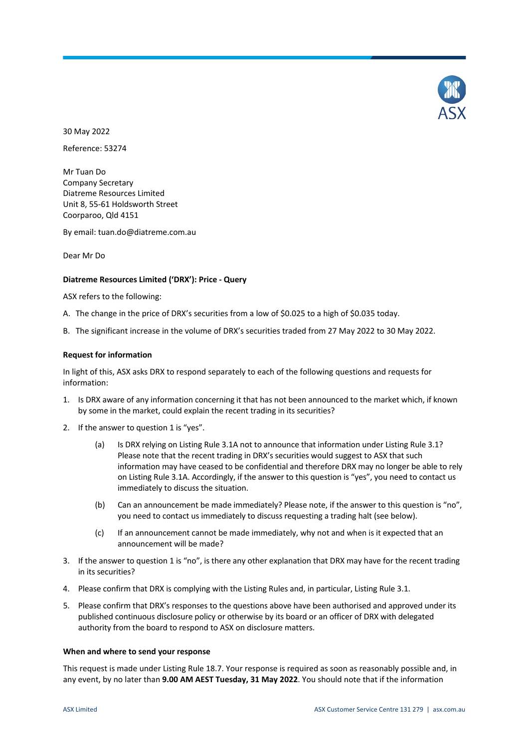

30 May 2022

Reference: 53274

Mr Tuan Do Company Secretary Diatreme Resources Limited Unit 8, 55-61 Holdsworth Street Coorparoo, Qld 4151

By email: tuan.do@diatreme.com.au

Dear Mr Do

### **Diatreme Resources Limited ('DRX'): Price - Query**

ASX refers to the following:

- A. The change in the price of DRX's securities from a low of \$0.025 to a high of \$0.035 today.
- B. The significant increase in the volume of DRX's securities traded from 27 May 2022 to 30 May 2022.

#### **Request for information**

In light of this, ASX asks DRX to respond separately to each of the following questions and requests for information:

- 1. Is DRX aware of any information concerning it that has not been announced to the market which, if known by some in the market, could explain the recent trading in its securities?
- 2. If the answer to question 1 is "yes".
	- (a) Is DRX relying on Listing Rule 3.1A not to announce that information under Listing Rule 3.1? Please note that the recent trading in DRX's securities would suggest to ASX that such information may have ceased to be confidential and therefore DRX may no longer be able to rely on Listing Rule 3.1A. Accordingly, if the answer to this question is "yes", you need to contact us immediately to discuss the situation.
	- (b) Can an announcement be made immediately? Please note, if the answer to this question is "no", you need to contact us immediately to discuss requesting a trading halt (see below).
	- (c) If an announcement cannot be made immediately, why not and when is it expected that an announcement will be made?
- 3. If the answer to question 1 is "no", is there any other explanation that DRX may have for the recent trading in its securities?
- 4. Please confirm that DRX is complying with the Listing Rules and, in particular, Listing Rule 3.1.
- 5. Please confirm that DRX's responses to the questions above have been authorised and approved under its published continuous disclosure policy or otherwise by its board or an officer of DRX with delegated authority from the board to respond to ASX on disclosure matters.

#### **When and where to send your response**

This request is made under Listing Rule 18.7. Your response is required as soon as reasonably possible and, in any event, by no later than **9.00 AM AEST Tuesday, 31 May 2022**. You should note that if the information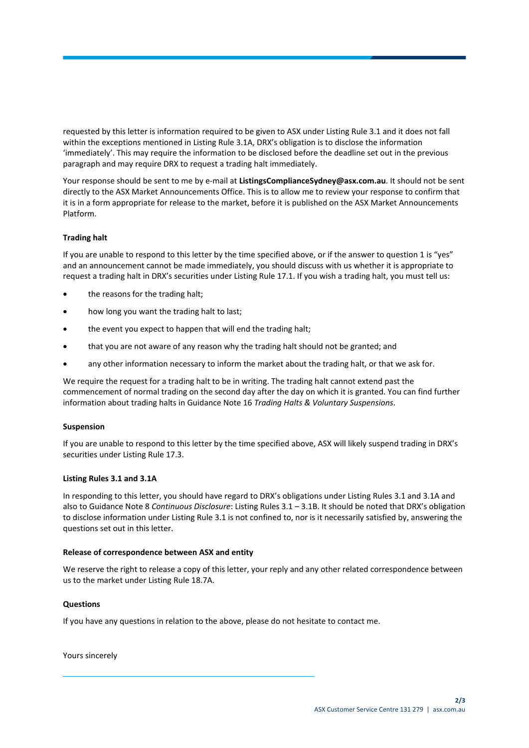requested by this letter is information required to be given to ASX under Listing Rule 3.1 and it does not fall within the exceptions mentioned in Listing Rule 3.1A, DRX's obligation is to disclose the information 'immediately'. This may require the information to be disclosed before the deadline set out in the previous paragraph and may require DRX to request a trading halt immediately.

Your response should be sent to me by e-mail at **ListingsComplianceSydney@asx.com.au**. It should not be sent directly to the ASX Market Announcements Office. This is to allow me to review your response to confirm that it is in a form appropriate for release to the market, before it is published on the ASX Market Announcements Platform.

# **Trading halt**

If you are unable to respond to this letter by the time specified above, or if the answer to question 1 is "yes" and an announcement cannot be made immediately, you should discuss with us whether it is appropriate to request a trading halt in DRX's securities under Listing Rule 17.1. If you wish a trading halt, you must tell us:

- the reasons for the trading halt;
- how long you want the trading halt to last;
- the event you expect to happen that will end the trading halt;
- that you are not aware of any reason why the trading halt should not be granted; and
- any other information necessary to inform the market about the trading halt, or that we ask for.

We require the request for a trading halt to be in writing. The trading halt cannot extend past the commencement of normal trading on the second day after the day on which it is granted. You can find further information about trading halts in Guidance Note 16 *Trading Halts & Voluntary Suspensions*.

## **Suspension**

If you are unable to respond to this letter by the time specified above, ASX will likely suspend trading in DRX's securities under Listing Rule 17.3.

## **Listing Rules 3.1 and 3.1A**

In responding to this letter, you should have regard to DRX's obligations under Listing Rules 3.1 and 3.1A and also to Guidance Note 8 *Continuous Disclosure*: Listing Rules 3.1 – 3.1B. It should be noted that DRX's obligation to disclose information under Listing Rule 3.1 is not confined to, nor is it necessarily satisfied by, answering the questions set out in this letter.

## **Release of correspondence between ASX and entity**

We reserve the right to release a copy of this letter, your reply and any other related correspondence between us to the market under Listing Rule 18.7A.

## **Questions**

If you have any questions in relation to the above, please do not hesitate to contact me.

Yours sincerely